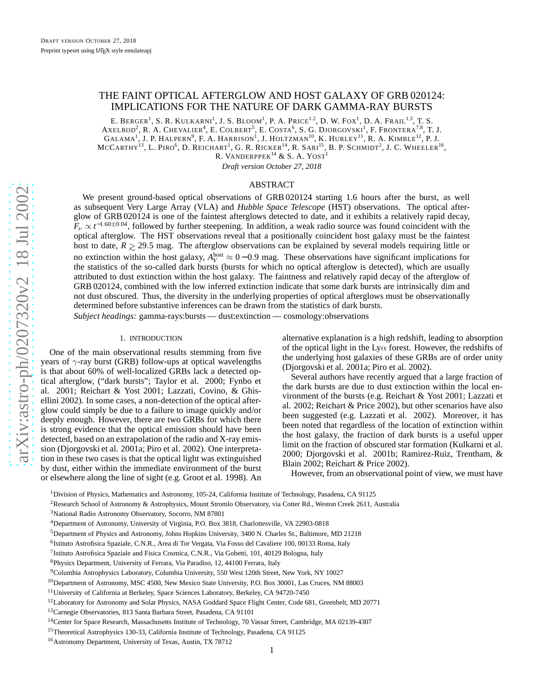# <span id="page-0-0"></span>THE FAINT OPTICAL AFTERGLOW AND HOST GALAXY OF GRB 020124: IMPLICATIONS FOR THE NATURE OF DARK GAMMA-RAY BURSTS

E. BERGER<sup>1</sup>, S. R. KULKARNI<sup>1</sup>, J. S. BLOOM<sup>1</sup>, P. A. Price<sup>1,2</sup>, D. W. Fox<sup>1</sup>, D. A. Frail<sup>1,3</sup>, T. S. AXELROD<sup>2</sup>, R. A. Chevalier<sup>4</sup>, E. Colbert<sup>5</sup>, E. Costa<sup>6</sup>, S. G. Djorgovski<sup>1</sup>, F. Frontera<sup>7,8</sup>, T. J.  $\text{GALAMA}^1$ , J. P. HALPERN<sup>9</sup>, F. A. HARRISON<sup>1</sup>, J. HOLTZMAN<sup>10</sup>, K. HURLEY<sup>11</sup>, R. A. KIMBLE<sup>12</sup>, P. J. MCCARTHY<sup>13</sup>, L. PIRO<sup>6</sup>, D. REICHART<sup>1</sup>, G. R. RICKER<sup>14</sup>, R. SARI<sup>15</sup>, B. P. SCHMIDT<sup>2</sup>, J. C. WHEELER<sup>16</sup>, R. VANDERPPEK $^{14}$  & S. A.  ${\rm YOST}^1$ 

*Draft version October 27, 2018*

## ABSTRACT

We present ground-based optical observations of GRB 020124 starting 1.6 hours after the burst, as well as subsequent Very Large Array (VLA) and *Hubble Space Telescope* (HST) observations. The optical afterglow of GRB 020124 is one of the faintest afterglows detected to date, and it exhibits a relatively rapid decay,  $F_\nu \propto t^{-1.60\pm0.04}$ , followed by further steepening. In addition, a weak radio source was found coincident with the optical afterglow. The HST observations reveal that a positionally coincident host galaxy must be the faintest host to date,  $R \ge 29.5$  mag. The afterglow observations can be explained by several models requiring little or no extinction within the host galaxy,  $A_V^{\text{host}} \approx 0 - 0.9$  mag. These observations have significant implications for the statistics of the so-called dark bursts (bursts for which no optical afterglow is detected), which are usually attributed to dust extinction within the host galaxy. The faintness and relatively rapid decay of the afterglow of GRB 020124, combined with the low inferred extinction indicate that some dark bursts are intrinsically dim and not dust obscured. Thus, the diversity in the underlying properties of optical afterglows must be observationally determined before substantive inferences can be drawn from the statistics of dark bursts. *Subject headings:* gamma-rays:bursts — dust:extinction — cosmology:observations

#### 1. INTRODUCTION

One of the main observational results stemming from five years of  $\gamma$ -ray burst (GRB) follow-ups at optical wavelengths is that about 60% of well-localized GRBs lack a detected optical afterglow, ("dark bursts"; Taylor et al. 2000; Fynbo et al. 2001; Reichart & Yost 2001; Lazzati, Covino, & Ghisellini 2002). In some cases, a non-detection of the optical afterglow could simply be due to a failure to image quickly and/or deeply enough. However, there are two GRBs for which there is strong evidence that the optical emission should have bee n detected, based on an extrapolation of the radio and X-ray emission (Djorgovski et al. 2001a; Piro et al. 2002). One interpretation in these two cases is that the optical light was extinguished by dust, either within the immediate environment of the burs t or elsewhere along the line of sight (e.g. Groot et al. 1998). An

alternative explanation is a high redshift, leading to absorption of the optical light in the Ly $\alpha$  forest. However, the redshifts of the underlying host galaxies of these GRBs are of order unity (Djorgovski et al. 2001a; Piro et al. 2002).

Several authors have recently argued that a large fraction o f the dark bursts are due to dust extinction within the local en vironment of the bursts (e.g. Reichart & Yost 2001; Lazzati e t al. 2002; Reichart & Price 2002), but other scenarios have also been suggested (e.g. Lazzati et al. 2002). Moreover, it has been noted that regardless of the location of extinction within the host galaxy, the fraction of dark bursts is a useful upper limit on the fraction of obscured star formation (Kulkarni et al. 2000; Djorgovski et al. 2001b; Ramirez-Ruiz, Trentham, & Blain 2002; Reichart & Price 2002).

However, from an observational point of view, we must have

<sup>1</sup>Division of Physics, Mathematics and Astronomy, 105-24, California Institute of Technology, Pasadena, CA 91125

<sup>2</sup>Research School of Astronomy & Astrophysics, Mount Stromlo Observatory, via Cotter Rd., Weston Creek 2611, Australia

<sup>3</sup>National Radio Astronomy Observatory, Socorro, NM 87801

<sup>4</sup>Department of Astronomy, University of Virginia, P.O. Box 3818, Charlottesville, VA 22903-0818

<sup>5</sup>Department of Physics and Astronomy, Johns Hopkins University, 3400 N. Charles St., Baltimore, MD 21218

<sup>6</sup> Istituto Astrofisica Spaziale, C.N.R., Area di Tor Vergata, Via Fosso del Cavaliere 100, 00133 Roma, Italy

<sup>&</sup>lt;sup>7</sup>Istituto Astrofisica Spaziale and Fisica Cosmica, C.N.R., Via Gobetti, 101, 40129 Bologna, Italy

<sup>8</sup>Physics Department, University of Ferrara, Via Paradiso, 12, 44100 Ferrara, Italy

<sup>9</sup>Columbia Astrophysics Laboratory, Columbia University, 550 West 120th Street, New York, NY 10027

<sup>&</sup>lt;sup>10</sup>Department of Astronomy, MSC 4500, New Mexico State University, P.O. Box 30001, Las Cruces, NM 88003

<sup>11</sup>University of California at Berkeley, Space Sciences Laboratory, Berkeley, CA 94720-7450

<sup>&</sup>lt;sup>12</sup>Laboratory for Astronomy and Solar Physics, NASA Goddard Space Flight Center, Code 681, Greenbelt, MD 20771

<sup>13</sup>Carnegie Observatories, 813 Santa Barbara Street, Pasadena, CA 91101

<sup>&</sup>lt;sup>14</sup>Center for Space Research, Massachusetts Institute of Technology, 70 Vassar Street, Cambridge, MA 02139-4307

<sup>&</sup>lt;sup>15</sup>Theoretical Astrophysics 130-33, California Institute of Technology, Pasadena, CA 91125

<sup>&</sup>lt;sup>16</sup> Astronomy Department, University of Texas, Austin, TX 78712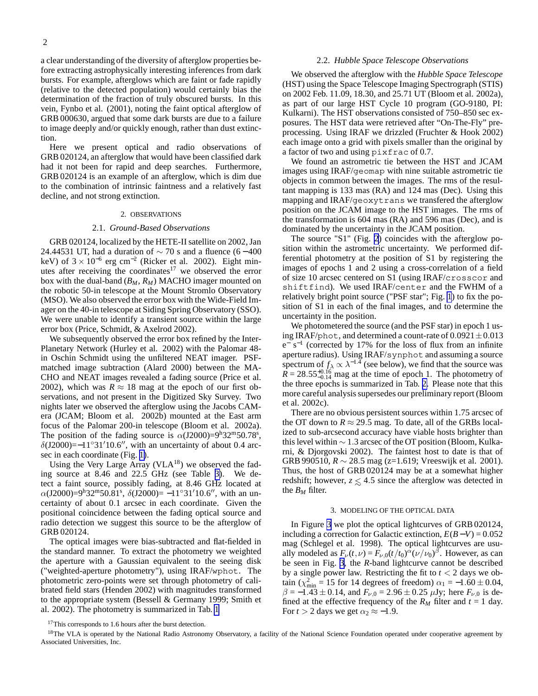<span id="page-1-0"></span>a clear understanding of the diversity of afterglow properties before extracting astrophysically interesting inferences from dark bursts. For example, afterglows which are faint or fade rapidly (relative to the detected population) would certainly bias the determination of the fraction of truly obscured bursts. In this vein, Fynbo et al. (2001), noting the faint optical afterglow of GRB 000630, argued that some dark bursts are due to a failure to image deeply and/or quickly enough, rather than dust extinction.

Here we present optical and radio observations of GRB 020124, an afterglow that would have been classified dark had it not been for rapid and deep searches. Furthermore, GRB 020124 is an example of an afterglow, which is dim due to the combination of intrinsic faintness and a relatively fast decline, and not strong extinction.

#### 2. OBSERVATIONS

## 2.1. *Ground-Based Observations*

GRB 020124, localized by the HETE-II satellite on 2002, Jan 24.44531 UT, had a duration of  $\sim$  70 s and a fluence (6 – 400 keV) of  $3 \times 10^{-6}$  erg cm<sup>-2</sup> (Ricker et al. 2002). Eight minutes after receiving the coordinates<sup>17</sup> we observed the error box with the dual-band (*BM*, *RM*) MACHO imager mounted on the robotic 50-in telescope at the Mount Stromlo Observatory (MSO). We also observed the error box with the Wide-Field Imager on the 40-in telescope at Siding Spring Observatory (SSO). We were unable to identify a transient source within the large error box (Price, Schmidt, & Axelrod 2002).

We subsequently observed the error box refined by the Inter-Planetary Network (Hurley et al. 2002) with the Palomar 48 in Oschin Schmidt using the unfiltered NEAT imager. PSFmatched image subtraction (Alard 2000) between the MA-CHO and NEAT images revealed a fading source (Price et al. 2002), which was  $R \approx 18$  mag at the epoch of our first observations, and not present in the Digitized Sky Survey. Two nights later we observed the afterglow using the Jacobs CAMera (JCAM; Bloom et al. 2002b) mounted at the East arm focus of the Palomar 200-in telescope (Bloom et al. 2002a). The position of the fading source is  $\alpha$ (J2000)=9<sup>h</sup>32<sup>m</sup>50.78<sup>s</sup>,  $\delta$ (J2000)=−11°31′10.6", with an uncertainty of about 0.4 arcsec in each coordinate (Fig. [1\)](#page-8-0).

Using the Very Large Array (VLA $^{18}$ ) we observed the fading source at 8.46 and 22.5 GHz (see Table [3\)](#page-6-0). We detect a faint source, possibly fading, at 8.46 GHz located at  $\alpha$ (J2000)=9<sup>h</sup>32<sup>m</sup>50.81<sup>s</sup>,  $\delta$ (J2000)= -11°31'10.6", with an uncertainty of about 0.1 arcsec in each coordinate. Given the positional coincidence between the fading optical source and radio detection we suggest this source to be the afterglow of GRB 020124.

The optical images were bias-subtracted and flat-fielded in the standard manner. To extract the photometry we weighted the aperture with a Gaussian equivalent to the seeing disk ("weighted-aperture photometry"), using IRAF/wphot. The photometric zero-points were set through photometry of calibrated field stars (Henden 2002) with magnitudes transformed to the appropriate system (Bessell & Germany 1999; Smith et al. 2002). The photometry is summarized in Tab. [1](#page-4-0)

### 2.2. *Hubble Space Telescope Observations*

We observed the afterglow with the *Hubble Space Telescope* (HST) using the Space Telescope Imaging Spectrograph (STIS) on 2002 Feb. 11.09, 18.30, and 25.71 UT (Bloom et al. 2002a), as part of our large HST Cycle 10 program (GO-9180, PI: Kulkarni). The HST observations consisted of 750–850 sec exposures. The HST data were retrieved after "On-The-Fly" preprocessing. Using IRAF we drizzled (Fruchter & Hook 2002) each image onto a grid with pixels smaller than the original by a factor of two and using pixfrac of 0.7.

We found an astrometric tie between the HST and JCAM images using IRAF/geomap with nine suitable astrometric tie objects in common between the images. The rms of the resultant mapping is 133 mas (RA) and 124 mas (Dec). Using this mapping and IRAF/geoxytrans we transfered the afterglow position on the JCAM image to the HST images. The rms of the transformation is 604 mas (RA) and 596 mas (Dec), and is dominated by the uncertainty in the JCAM position.

The source "S1" (Fig. [2](#page-9-0)) coincides with the afterglow position within the astrometric uncertainty. We performed differential photometry at the position of S1 by registering the images of epochs 1 and 2 using a cross-correlation of a field of size 10 arcsec centered on S1 (using IRAF/crosscor and shiftfind). We used IRAF/center and the FWHM of a relatively bright point source ("PSF star"; Fig. [1](#page-8-0)) to fix the position of S1 in each of the final images, and to determine the uncertainty in the position.

We photometered the source (and the PSF star) in epoch 1 using IRAF/phot, and determined a count-rate of  $0.0921 \pm 0.013$  $e^{-}$  s<sup>-1</sup> (corrected by 17% for the loss of flux from an infinite aperture radius). Using IRAF/synphot and assuming a source spectrum of  $f_{\lambda} \propto \lambda^{-1.4}$  (see below), we find that the source was  $\overline{R}$  = 28.55<sup>+0.16</sup> mag at the time of epoch 1. The photometry of the three epochs is summarized in Tab. [2.](#page-5-0) Please note that this more careful analysis supersedes our preliminary report (Bloom et al. 2002c).

There are no obvious persistent sources within 1.75 arcsec of the OT down to  $R \approx 29.5$  mag. To date, all of the GRBs localized to sub-arcsecond accuracy have viable hosts brighter than this level within  $\sim$  1.3 arcsec of the OT position (Bloom, Kulkarni, & Djorgovski 2002). The faintest host to date is that of GRB 990510,  $R \sim 28.5$  mag (z=1.619; Vreeswijk et al. 2001). Thus, the host of GRB 020124 may be at a somewhat higher redshift; however,  $z \le 4.5$  since the afterglow was detected in the  $B_M$  filter.

### 3. MODELING OF THE OPTICAL DATA

In Figure [3](#page-10-0) we plot the optical lightcurves of GRB 020124, including a correction for Galactic extinction, *E*(*B*−*V*) = 0.052 mag (Schlegel et al. 1998). The optical lightcurves are usually modeled as  $F_{\nu}(t,\nu) = F_{\nu,0}(t/t_0)^{\alpha} (\nu/\nu_0)^{\beta}$ . However, as can be seen in Fig. [3,](#page-10-0) the *R*-band lightcurve cannot be described by a single power law. Restricting the fit to  $t < 2$  days we obtain ( $\chi^2_{\text{min}} = 15$  for 14 degrees of freedom)  $\alpha_1 = -1.60 \pm 0.04$ ,  $\beta = -1.43 \pm 0.14$ , and  $F_{\nu,0} = 2.96 \pm 0.25 \mu Jy$ ; here  $F_{\nu,0}$  is defined at the effective frequency of the  $R_M$  filter and  $t = 1$  day. For  $t > 2$  days we get  $\alpha_2 \approx -1.9$ .

<sup>&</sup>lt;sup>17</sup>This corresponds to 1.6 hours after the burst detection.

<sup>&</sup>lt;sup>18</sup>The VLA is operated by the National Radio Astronomy Observatory, a facility of the National Science Foundation operated under cooperative agreement by Associated Universities, Inc.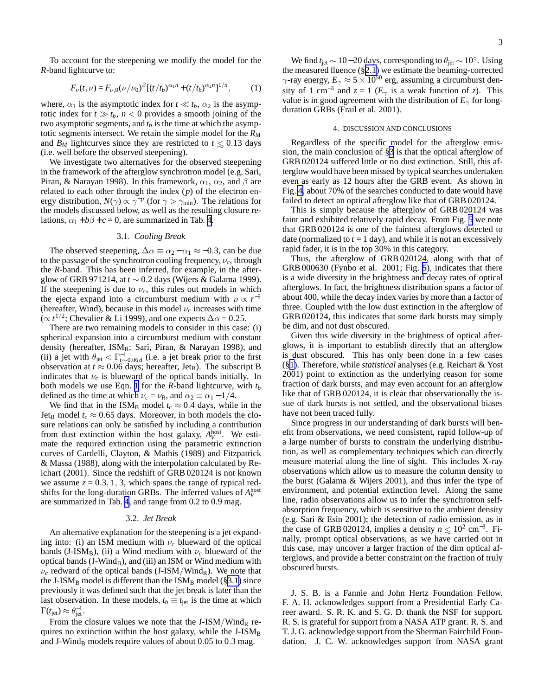To account for the steepening we modify the model for the *R*-band lightcurve to:

$$
F_{\nu}(t,\nu) = F_{\nu,0}(\nu/\nu_0)^{\beta} \left[ (t/t_b)^{\alpha_1 n} + (t/t_b)^{\alpha_2 n} \right]^{1/n},\tag{1}
$$

where,  $\alpha_1$  is the asymptotic index for  $t \ll t_b$ ,  $\alpha_2$  is the asymptotic index for  $t \gg t_b$ ,  $n < 0$  provides a smooth joining of the two asymptotic segments, and  $t_b$  is the time at which the asymptotic segments intersect. We retain the simple model for the *R<sup>M</sup>* and *B<sub>M</sub>* lightcurves since they are restricted to  $t \le 0.13$  days (i.e. well before the observed steepening).

We investigate two alternatives for the observed steepening in the framework of the afterglow synchrotron model (e.g. Sari, Piran, & Narayan 1998). In this framework,  $\alpha_1$ ,  $\alpha_2$ , and  $\beta$  are related to each other through the index  $(p)$  of the electron energy distribution,  $N(\gamma) \propto \gamma^{-p}$  (for  $\gamma > \gamma_{\text{min}}$ ). The relations for the models discussed below, as well as the resulting closure relations,  $\alpha_1 + b\beta + c = 0$ , are summarized in Tab. [4.](#page-7-0)

## 3.1. *Cooling Break*

The observed steepening,  $\Delta \alpha \equiv \alpha_2 - \alpha_1 \approx -0.3$ , can be due to the passage of the synchrotron cooling frequency,  $\nu_c$ , through the *R*-band. This has been inferred, for example, in the afterglow of GRB 971214, at *t* ∼ 0.2 days (Wijers & Galama 1999). If the steepening is due to  $\nu_c$ , this rules out models in which the ejecta expand into a circumburst medium with  $\rho \propto r^{-2}$ (hereafter, Wind), because in this model  $\nu_c$  increases with time  $(\propto t^{1/2})$ ; Chevalier & Li 1999), and one expects  $\Delta \alpha = 0.25$ .

There are two remaining models to consider in this case: (i) spherical expansion into a circumburst medium with constant density (hereafter, ISM<sub>B</sub>; Sari, Piran, & Narayan 1998), and (ii) a jet with  $\theta_{\rm jet} < \Gamma_{t \sim 0.06d}^{-1}$  (i.e. a jet break prior to the first observation at  $t \approx 0.06$  days; hereafter, Jet<sub>B</sub>). The subscript B indicates that  $\nu_c$  is blueward of the optical bands initially. In both models we use Eqn. 1 for the *R*-band lightcurve, with *t<sup>b</sup>* defined as the time at which  $\nu_c = \nu_R$ , and  $\alpha_2 \equiv \alpha_1 - 1/4$ .

We find that in the ISM<sub>B</sub> model  $t_c \approx 0.4$  days, while in the Jet<sub>B</sub> model  $t_c \approx 0.65$  days. Moreover, in both models the closure relations can only be satisfied by including a contribution from dust extinction within the host galaxy,  $A_V^{\text{host}}$ . We estimate the required extinction using the parametric extinction curves of Cardelli, Clayton, & Mathis (1989) and Fitzpatrick & Massa (1988), along with the interpolation calculated by Reichart (2001). Since the redshift of GRB 020124 is not known we assume  $z = 0.3, 1, 3$ , which spans the range of typical redshifts for the long-duration GRBs. The inferred values of  $A_V^{\text{host}}$ are summarized in Tab. [4,](#page-7-0) and range from 0.2 to 0.9 mag.

## 3.2. *Jet Break*

An alternative explanation for the steepening is a jet expanding into: (i) an ISM medium with  $\nu_c$  blueward of the optical bands (J-ISM<sub>B</sub>), (ii) a Wind medium with  $\nu_c$  blueward of the optical bands (J-WindB), and (iii) an ISM or Wind medium with  $\nu_c$  redward of the optical bands (J-ISM/Wind<sub>R</sub>). We note that the J-ISM<sub>B</sub> model is different than the ISM<sub>B</sub> model (§3.1) since previously it was defined such that the jet break is later than the last observation. In these models,  $t_b \equiv t_{\text{jet}}$  is the time at which  $\Gamma(t_{\rm jet}) \approx \theta_{\rm jet}^{-1}$ .

From the closure values we note that the J-ISM/Wind<sub>R</sub> requires no extinction within the host galaxy, while the  $J-ISM_B$ and J-Wind<sub>B</sub> models require values of about  $0.05$  to  $0.3$  mag.

We find  $t_{jet} \sim 10-20$  days, corresponding to  $\theta_{jet} \sim 10^{\circ}$ . Using the measured fluence (§[2.1](#page-1-0)) we estimate the beaming-corrected  $\gamma$ -ray energy,  $E_{\gamma} \approx 5 \times 10^{50}$  erg, assuming a circumburst density of 1 cm<sup>-3</sup> and  $z = 1$  ( $E<sub>\gamma</sub>$  is a weak function of *z*). This value is in good agreement with the distribution of  $E_\gamma$  for longduration GRBs (Frail et al. 2001).

### 4. DISCUSSION AND CONCLUSIONS

Regardless of the specific model for the afterglow emission, the main conclusion of [§3](#page-1-0) is that the optical afterglow of GRB 020124 suffered little or no dust extinction. Still, this afterglow would have been missed by typical searches undertaken even as early as 12 hours after the GRB event. As shown in Fig. [4,](#page-11-0) about 70% of the searches conducted to date would have failed to detect an optical afterglow like that of GRB 020124.

This is simply because the afterglow of GRB 020124 was faint and exhibited relatively rapid decay. From Fig. [5](#page-12-0) we note that GRB 020124 is one of the faintest afterglows detected to date (normalized to  $t = 1$  day), and while it is not an excessively rapid fader, it is in the top 30% in this category.

Thus, the afterglow of GRB 020124, along with that of GRB 000630 (Fynbo et al. 2001; Fig. [5\)](#page-12-0), indicates that there is a wide diversity in the brightness and decay rates of optical afterglows. In fact, the brightness distribution spans a factor of about 400, while the decay index varies by more than a factor of three. Coupled with the low dust extinction in the afterglow of GRB 020124, this indicates that some dark bursts may simply be dim, and not dust obscured.

Given this wide diversity in the brightness of optical afterglows, it is important to establish directly that an afterglow is dust obscured. This has only been done in a few cases (§[1\)](#page-0-0). Therefore, while *statistical* analyses (e.g. Reichart & Yost 2001) point to extinction as the underlying reason for some fraction of dark bursts, and may even account for an afterglow like that of GRB 020124, it is clear that observationally the issue of dark bursts is not settled, and the observational biases have not been traced fully.

Since progress in our understanding of dark bursts will benefit from observations, we need consistent, rapid follow-up of a large number of bursts to constrain the underlying distribution, as well as complementary techniques which can directly measure material along the line of sight. This includes X-ray observations which allow us to measure the column density to the burst (Galama & Wijers 2001), and thus infer the type of environment, and potential extinction level. Along the same line, radio observations allow us to infer the synchrotron selfabsorption frequency, which is sensitive to the ambient density (e.g. Sari & Esin 2001); the detection of radio emission, as in the case of GRB 020124, implies a density  $n \lesssim 10^2$  cm<sup>-3</sup>. Finally, prompt optical observations, as we have carried out in this case, may uncover a larger fraction of the dim optical afterglows, and provide a better constraint on the fraction of truly obscured bursts.

J. S. B. is a Fannie and John Hertz Foundation Fellow. F. A. H. acknowledges support from a Presidential Early Career award. S. R. K. and S. G. D. thank the NSF for support. R. S. is grateful for support from a NASA ATP grant. R. S. and T. J. G. acknowledge support from the Sherman Fairchild Foundation. J. C. W. acknowledges support from NASA grant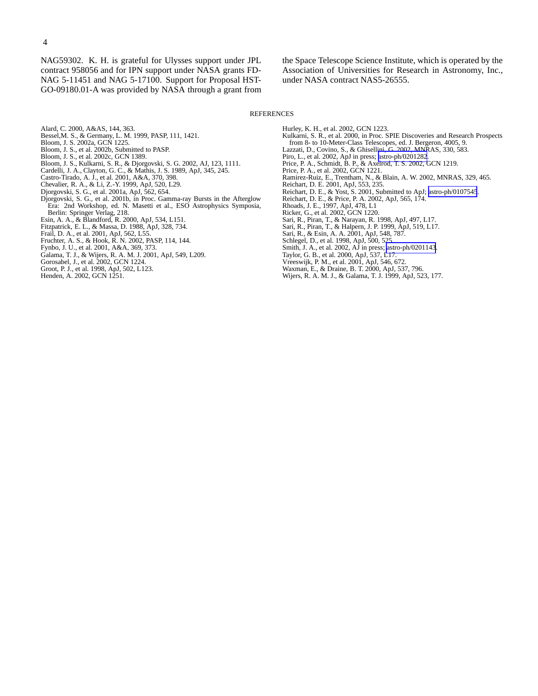NAG59302. K. H. is grateful for Ulysses support under JPL contract 958056 and for IPN support under NASA grants FD-NAG 5-11451 and NAG 5-17100. Support for Proposal HST-GO-09180.01-A was provided by NASA through a grant from

the Space Telescope Science Institute, which is operated by the Association of Universities for Research in Astronomy, Inc., under NASA contract NAS5-26555.

#### REFERENCES

- Alard, C. 2000, A&AS, 144, 363.
- Bessel,M. S., & Germany, L. M. 1999, PASP, 111, 1421.
- Bloom, J. S. 2002a, GCN 1225.
- Bloom, J. S., et al. 2002b, Submitted to PASP.
- Bloom, J. S., et al. 2002c, GCN 1389.
- Bloom, J. S., Kulkarni, S. R., & Djorgovski, S. G. 2002, AJ, 123, 1111.
- Cardelli, J. A., Clayton, G. C., & Mathis, J. S. 1989, ApJ, 345, 245. Castro-Tirado, A. J., et al. 2001, A&A, 370, 398.
- 
- Chevalier, R. A., & Li, Z.-Y. 1999, ApJ, 520, L29.
- Djorgovski, S. G., et al. 2001a, ApJ, 562, 654.
- Djorgovski, S. G., et al. 2001b, in Proc. Gamma-ray Bursts in the Afterglow Era: 2nd Workshop, ed. N. Masetti et al., ESO Astrophysics Symposia, Berlin: Springer Verlag, 218.
- Esin, A. A., & Blandford, R. 2000, ApJ, 534, L151.
- Fitzpatrick, E. L., & Massa, D. 1988, ApJ, 328, 734. Frail, D. A., et al. 2001, ApJ, 562, L55.
- 
- Fruchter, A. S., & Hook, R. N. 2002, PASP, 114, 144.
- Fynbo, J. U., et al. 2001, A&A, 369, 373.
- Galama, T. J., & Wijers, R. A. M. J. 2001, ApJ, 549, L209.
- Gorosabel, J., et al. 2002, GCN 1224.
- Groot, P. J., et al. 1998, ApJ, 502, L123.
- Henden, A. 2002, GCN 1251.
- Hurley, K. H., et al. 2002, GCN 1223.
- Kulkarni, S. R., et al. 2000, in Proc. SPIE Discoveries and Research Prospects
- from 8- to 10-Meter-Class Telescopes, ed. J. Bergeron, 4005, 9.
- Lazzati, D., Covino, S., & Ghisellini, G. 2002, MNRAS, 330, 583.
- Piro, L., et al. 2002, ApJ in press; [astro-ph/0201282](http://arxiv.org/abs/astro-ph/0201282). Price, P. A., Schmidt, B. P., & Axelrod, T. S. 2002, GCN 1219.
- Price, P. A., et al. 2002, GCN 1221.
- Ramirez-Ruiz, E., Trentham, N., & Blain, A. W. 2002, MNRAS, 329, 465.
- Reichart, D. E. 2001, ApJ, 553, 235.
- Reichart, D. E., & Yost, S. 2001, Submitted to ApJ; [astro-ph/0107545](http://arxiv.org/abs/astro-ph/0107545).
- Reichart, D. E., & Price, P. A. 2002, ApJ, 565, 174.
- Rhoads, J. E., 1997, ApJ, 478, L1 Ricker, G., et al. 2002, GCN 1220.
- 
- Sari, R., Piran, T., & Narayan, R. 1998, ApJ, 497, L17.
- Sari, R., Piran, T., & Halpern, J. P. 1999, ApJ, 519, L17.
- Sari, R., & Esin, A. A. 2001, ApJ, 548, 787.
- 
- Schlegel, D., et al. 1998, ApJ, 500, 525. Smith, J. A., et al. 2002, AJ in press; [astro-ph/0201143](http://arxiv.org/abs/astro-ph/0201143).
- Taylor, G. B., et al. 2000, ApJ, 537, L17.
- Vreeswijk, P. M., et al. 2001, ApJ, 546, 672. Waxman, E., & Draine, B. T. 2000, ApJ, 537, 796.
- Wijers, R. A. M. J., & Galama, T. J. 1999, ApJ, 523, 177.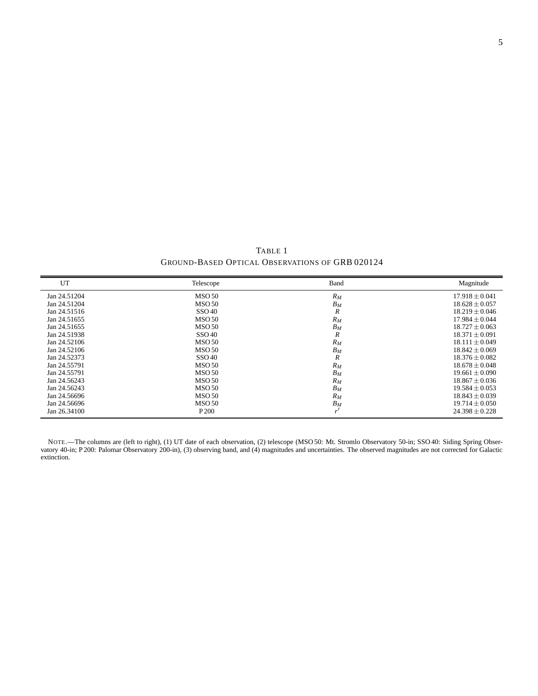TABLE 1 GROUND-BASED OPTICAL OBSERVATIONS OF GRB 020124

<span id="page-4-0"></span>

| UT           | Telescope         | Band             | Magnitude          |
|--------------|-------------------|------------------|--------------------|
| Jan 24.51204 | <b>MSO 50</b>     | $R_M$            | $17.918 \pm 0.041$ |
| Jan 24.51204 | <b>MSO 50</b>     | $B_M$            | $18.628 + 0.057$   |
| Jan 24.51516 | SSO40             | $\boldsymbol{R}$ | $18.219 + 0.046$   |
| Jan 24.51655 | <b>MSO 50</b>     | $R_M$            | $17.984 + 0.044$   |
| Jan 24.51655 | <b>MSO 50</b>     | $B_M$            | $18.727 \pm 0.063$ |
| Jan 24.51938 | SSO <sub>40</sub> | $\boldsymbol{R}$ | $18.371 \pm 0.091$ |
| Jan 24.52106 | <b>MSO 50</b>     | $R_M$            | $18.111 \pm 0.049$ |
| Jan 24.52106 | <b>MSO 50</b>     | $B_M$            | $18.842 \pm 0.069$ |
| Jan 24.52373 | SSO <sub>40</sub> | $\boldsymbol{R}$ | $18.376 + 0.082$   |
| Jan 24.55791 | <b>MSO 50</b>     | $R_M$            | $18.678 \pm 0.048$ |
| Jan 24.55791 | <b>MSO 50</b>     | $B_M$            | $19.661 + 0.090$   |
| Jan 24.56243 | <b>MSO 50</b>     | $R_M$            | $18.867 + 0.036$   |
| Jan 24.56243 | <b>MSO 50</b>     | $B_M$            | $19.584 + 0.053$   |
| Jan 24.56696 | <b>MSO 50</b>     | $R_M$            | $18.843 \pm 0.039$ |
| Jan 24.56696 | <b>MSO 50</b>     | $B_M$            | $19.714 \pm 0.050$ |
| Jan 26.34100 | P 200             | $\cdot$          | $24.398 \pm 0.228$ |

NOTE.—The columns are (left to right), (1) UT date of each observation, (2) telescope (MSO 50: Mt. Stromlo Observatory 50-in; SSO 40: Siding Spring Observatory 40-in; P 200: Palomar Observatory 200-in), (3) observing band, and (4) magnitudes and uncertainties. The observed magnitudes are not corrected for Galactic extinction.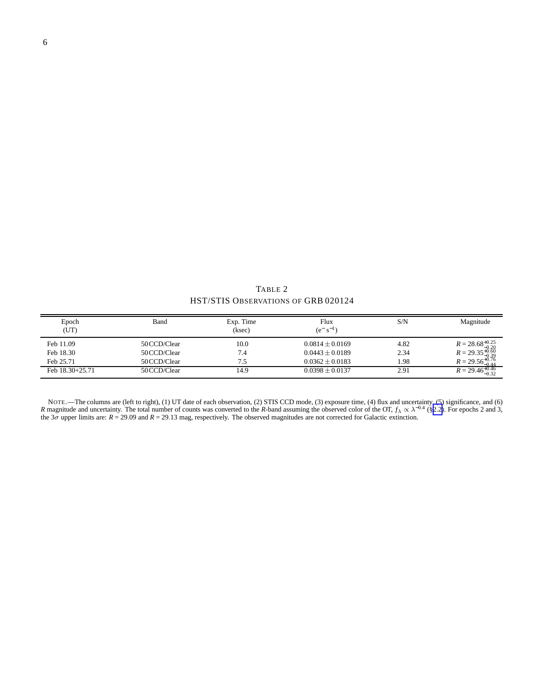TABLE 2 HST/STIS OBSERVATIONS OF GRB 020124

<span id="page-5-0"></span>

| Epoch<br>(UT)   | Band         | Exp. Time<br>(ksec) | Flux<br>$(e^{-} s^{-1})$ | S/N  | Magnitude                                                  |
|-----------------|--------------|---------------------|--------------------------|------|------------------------------------------------------------|
| Feb 11.09       | 50 CCD/Clear | 10.0                | $0.0814 \pm 0.0169$      | 4.82 | $R = 28.68^{+0.25}_{-0.20}$<br>$R = 29.35^{+0.60}_{-0.39}$ |
| Feb 18.30       | 50 CCD/Clear | 7.4                 | $0.0443 \pm 0.0189$      | 2.34 |                                                            |
| Feb 25.71       | 50 CCD/Clear |                     | $0.0362 + 0.0183$        | 1.98 | $R = 29.56_{0.44}^{+0.76}$<br>$-0.44$                      |
| Feb 18.30+25.71 | 50 CCD/Clear | 14.9                | $0.0398 \pm 0.0137$      | 2.91 | $R = 29.46^{+0.46}_{-0.32}$                                |

NOTE.—The columns are (left to right), (1) UT date of each observation, (2) STIS CCD mode, (3) exposure time, (4) flux and uncertainty, (5) significance, and (6) R magnitude and uncertainty. The total number of counts was the 3σ upper limits are: *R* = 29.09 and *R* = 29.13 mag, respectively. The observed magnitudes are not corrected for Galactic extinction.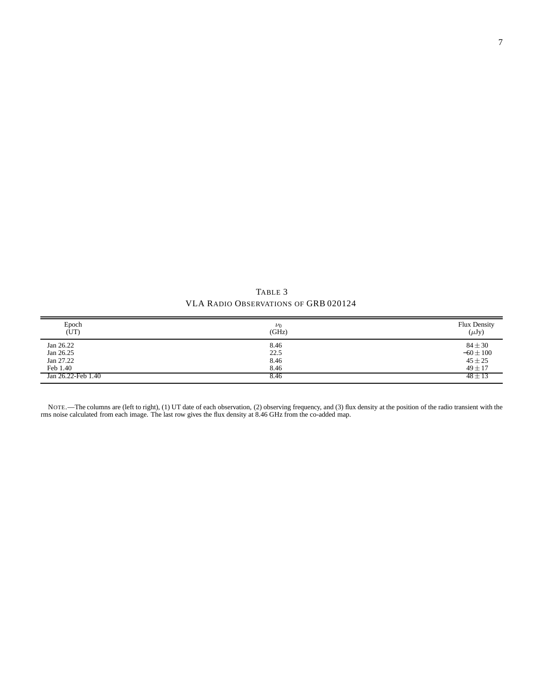TABLE 3 VLA RADIO OBSERVATIONS OF GRB 020124

<span id="page-6-0"></span>

| Epoch<br>(UT)      | $\nu_0$<br>(GHz) | Flux Density<br>$(\mu Jy)$ |
|--------------------|------------------|----------------------------|
| Jan 26.22          | 8.46             | $84 \pm 30$                |
| Jan 26.25          | 22.5             | $-60 \pm 100$              |
| Jan 27.22          | 8.46             | $45 \pm 25$                |
| Feb 1.40           | 8.46             | $49 \pm 17$                |
| Jan 26.22-Feb 1.40 | 8.46             | $48 \pm 13$                |

NOTE.—The columns are (left to right), (1) UT date of each observation, (2) observing frequency, and (3) flux density at the position of the radio transient with the rms noise calculated from each image. The last row gives the flux density at 8.46 GHz from the co-added map.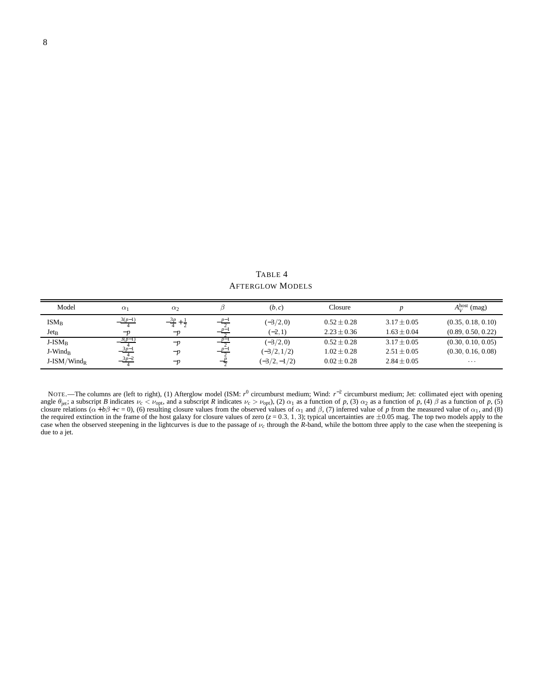<span id="page-7-0"></span>

| Model               | $\alpha_1$ | $\alpha_2$ |          | (b,c)         | Closure         |                 | $A_V^{\text{host}}$ (mag) |
|---------------------|------------|------------|----------|---------------|-----------------|-----------------|---------------------------|
| $ISM_B$             | $3(p-1)$   | 3p.        | $p_{-1}$ | $(-3/2,0)$    | $0.52 \pm 0.28$ | $3.17 \pm 0.05$ | (0.35, 0.18, 0.10)        |
| $Jet_B$             | $-p$       | $-p$       | $D-$     | $(-2,1)$      | $2.23 \pm 0.36$ | $1.63 \pm 0.04$ | (0.89, 0.50, 0.22)        |
| $J-ISM_B$           | 3(p-1      | $-p$       |          | $(-3/2,0)$    | $0.52 \pm 0.28$ | $3.17 \pm 0.05$ | (0.30, 0.10, 0.05)        |
| J-Wind <sub>R</sub> | $3p-1$     | $-p$       | $p-$     | $(-3/2, 1/2)$ | $1.02 \pm 0.28$ | $2.51 \pm 0.05$ | (0.30, 0.16, 0.08)        |
| $J-ISM/Wind_R$      | $3p-2$     | $-p$       |          | $(-3/2,-1/2)$ | $0.02 + 0.28$   | $2.84 \pm 0.05$ | $\cdots$                  |

TABLE 4 AFTERGLOW MODELS

NOTE.—The columns are (left to right), (1) Afterglow model (ISM: *r*<sup>0</sup> circumburst medium; Wind: *r*<sup>−2</sup> circumburst medium; Jet: collimated eject with opening angle  $\theta_{jet}$ ; a subscript *B* indicates  $\nu_c < \nu_{opt}$ , and a subscript *R* indicates  $\nu_c > \nu_{opt}$ , (2)  $\alpha_1$  as a function of *p*, (3)  $\alpha_2$  as a function of *p*, (4)  $\beta$  as a function of *p*, (5) closure relations ( $\alpha + b\beta + c = 0$ ), (6) resulting closure values from the observed values of  $\alpha_1$  and  $\beta$ , (7) inferred value of p from the measured value of  $\alpha_1$ , and (8) the required extinction in the frame of the h case when the observed steepening in the lightcurves is due to the passage of ν*c* through the *R*-band, while the bottom three apply to the case when the steepening is due to a jet.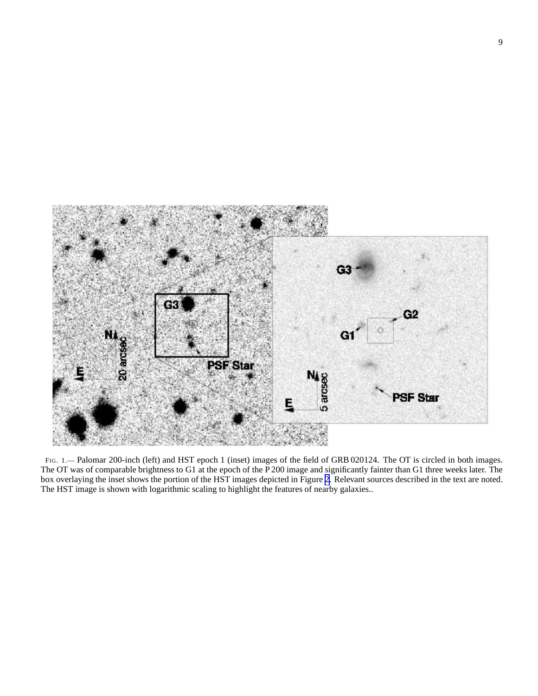<span id="page-8-0"></span>

FIG. 1. - Palomar 200-inch (left) and HST epoch 1 (inset) images of the field of GRB 020124. The OT is circled in both images. The OT was of comparable brightness to G1 at the epoch of the P 200 image and significantly fainter than G1 three weeks later. The box overlaying the inset shows the portion of the HST images depicted in Figure [2.](#page-9-0) Relevant sources described in the text are noted. The HST image is shown with logarithmic scaling to highlight the features of nearby galaxies..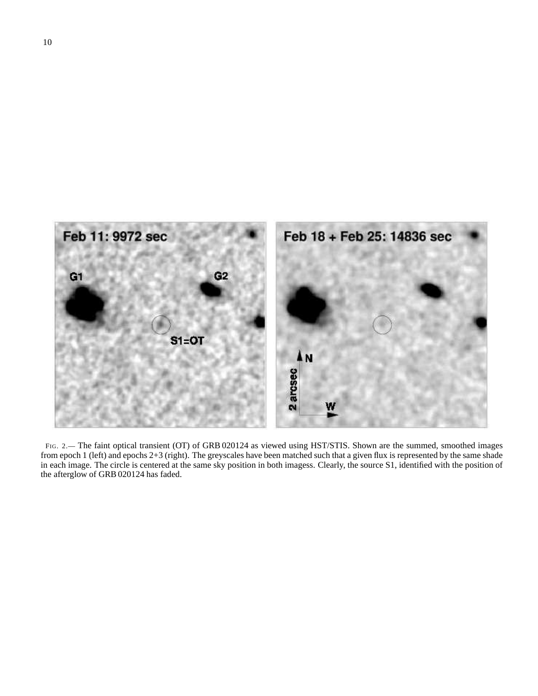<span id="page-9-0"></span>

FIG. 2.— The faint optical transient (OT) of GRB 020124 as viewed using HST/STIS. Shown are the summed, smoothed images from epoch 1 (left) and epochs 2+3 (right). The greyscales have been matched such that a given flux is represented by the same shade in each image. The circle is centered at the same sky position in both imagess. Clearly, the source S1, identified with the position of the afterglow of GRB 020124 has faded.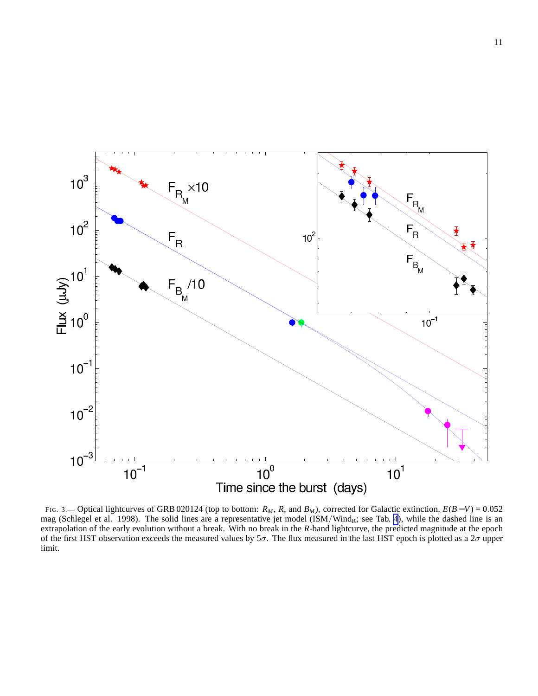<span id="page-10-0"></span>

FIG. 3.— Optical lightcurves of GRB 020124 (top to bottom: *RM*, *R*, and *BM*), corrected for Galactic extinction, *E*(*B* −*V*) = 0.052 mag (Schlegel et al. 1998). The solid lines are a representative jet model (ISM/Wind<sub>R</sub>; see Tab. [4](#page-7-0)), while the dashed line is an extrapolation of the early evolution without a break. With no break in the *R*-band lightcurve, the predicted magnitude at the epoch of the first HST observation exceeds the measured values by  $5\sigma$ . The flux measured in the last HST epoch is plotted as a  $2\sigma$  upper limit.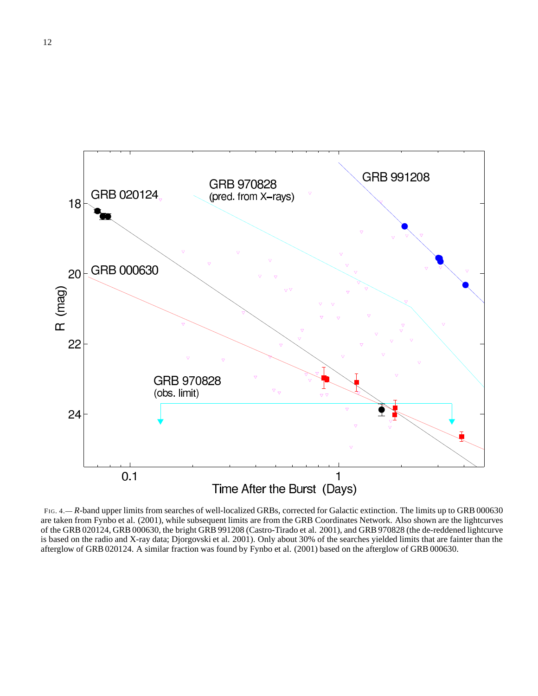<span id="page-11-0"></span>

FIG. 4.— *R*-band upper limits from searches of well-localized GRBs, corrected for Galactic extinction. The limits up to GRB 000630 are taken from Fynbo et al. (2001), while subsequent limits are from the GRB Coordinates Network. Also shown are the lightcurves of the GRB 020124, GRB 000630, the bright GRB 991208 (Castro-Tirado et al. 2001), and GRB 970828 (the de-reddened lightcurve is based on the radio and X-ray data; Djorgovski et al. 2001). Only about 30% of the searches yielded limits that are fainter than the afterglow of GRB 020124. A similar fraction was found by Fynbo et al. (2001) based on the afterglow of GRB 000630.